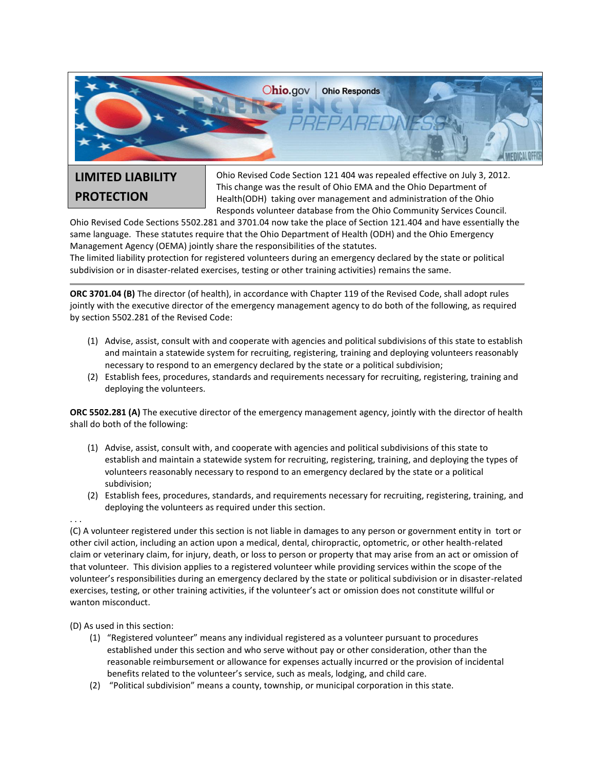

## **LIMITED LIABILITY PROTECTION**

Ohio Revised Code Section 121 404 was repealed effective on July 3, 2012. This change was the result of Ohio EMA and the Ohio Department of Health(ODH) taking over management and administration of the Ohio Responds volunteer database from the Ohio Community Services Council.

Ohio Revised Code Sections 5502.281 and 3701.04 now take the place of Section 121.404 and have essentially the same language. These statutes require that the Ohio Department of Health (ODH) and the Ohio Emergency Management Agency (OEMA) jointly share the responsibilities of the statutes.

The limited liability protection for registered volunteers during an emergency declared by the state or political subdivision or in disaster-related exercises, testing or other training activities) remains the same.

**ORC 3701.04 (B)** The director (of health), in accordance with Chapter 119 of the Revised Code, shall adopt rules jointly with the executive director of the emergency management agency to do both of the following, as required by section 5502.281 of the Revised Code:

- (1) Advise, assist, consult with and cooperate with agencies and political subdivisions of this state to establish and maintain a statewide system for recruiting, registering, training and deploying volunteers reasonably necessary to respond to an emergency declared by the state or a political subdivision;
- (2) Establish fees, procedures, standards and requirements necessary for recruiting, registering, training and deploying the volunteers.

**ORC 5502.281 (A)** The executive director of the emergency management agency, jointly with the director of health shall do both of the following:

- (1) Advise, assist, consult with, and cooperate with agencies and political subdivisions of this state to establish and maintain a statewide system for recruiting, registering, training, and deploying the types of volunteers reasonably necessary to respond to an emergency declared by the state or a political subdivision;
- (2) Establish fees, procedures, standards, and requirements necessary for recruiting, registering, training, and deploying the volunteers as required under this section.

. . .

(C) A volunteer registered under this section is not liable in damages to any person or government entity in tort or other civil action, including an action upon a medical, dental, chiropractic, optometric, or other health-related claim or veterinary claim, for injury, death, or loss to person or property that may arise from an act or omission of that volunteer. This division applies to a registered volunteer while providing services within the scope of the volunteer's responsibilities during an emergency declared by the state or political subdivision or in disaster-related exercises, testing, or other training activities, if the volunteer's act or omission does not constitute willful or wanton misconduct.

(D) As used in this section:

- (1) "Registered volunteer" means any individual registered as a volunteer pursuant to procedures established under this section and who serve without pay or other consideration, other than the reasonable reimbursement or allowance for expenses actually incurred or the provision of incidental benefits related to the volunteer's service, such as meals, lodging, and child care.
- (2) "Political subdivision" means a county, township, or municipal corporation in this state.